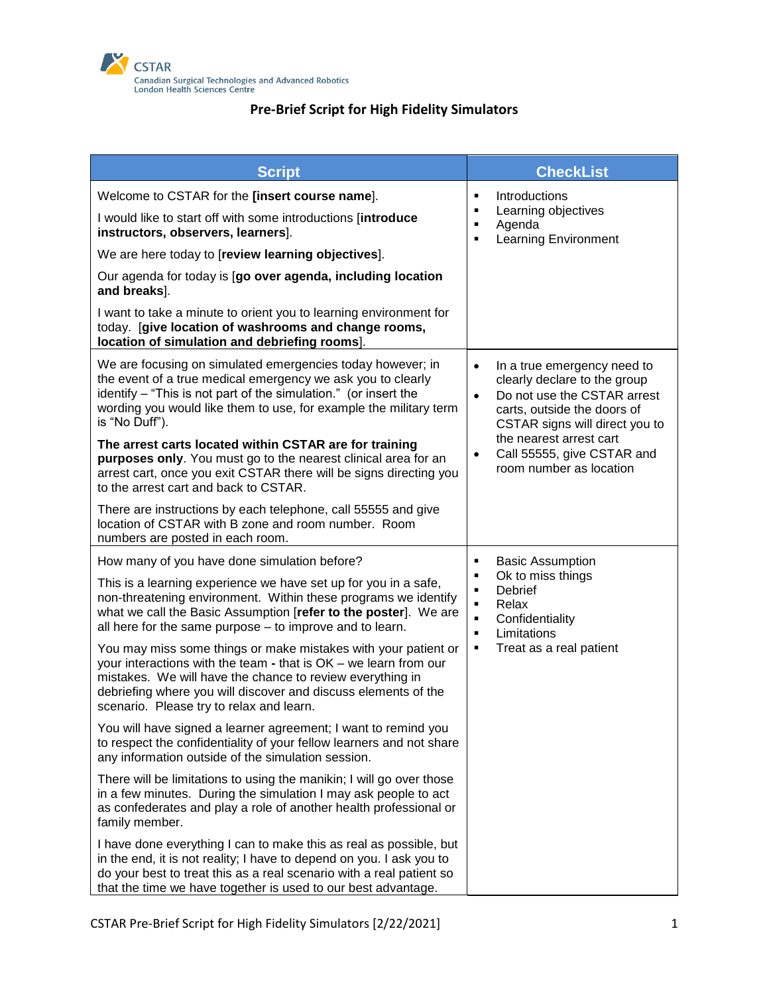

| <b>Script</b>                                                                                                                                                                                                                                                                                                 |                                                                                     | <b>CheckList</b>                                                                                                                                                                                                                                |
|---------------------------------------------------------------------------------------------------------------------------------------------------------------------------------------------------------------------------------------------------------------------------------------------------------------|-------------------------------------------------------------------------------------|-------------------------------------------------------------------------------------------------------------------------------------------------------------------------------------------------------------------------------------------------|
| Welcome to CSTAR for the [insert course name].<br>I would like to start off with some introductions [introduce<br>instructors, observers, learners].                                                                                                                                                          | ٠<br>٠<br>$\blacksquare$<br>$\blacksquare$                                          | Introductions<br>Learning objectives<br>Agenda<br><b>Learning Environment</b>                                                                                                                                                                   |
| We are here today to [review learning objectives].                                                                                                                                                                                                                                                            |                                                                                     |                                                                                                                                                                                                                                                 |
| Our agenda for today is [go over agenda, including location<br>and breaks].                                                                                                                                                                                                                                   |                                                                                     |                                                                                                                                                                                                                                                 |
| I want to take a minute to orient you to learning environment for<br>today. [give location of washrooms and change rooms,<br>location of simulation and debriefing rooms].                                                                                                                                    |                                                                                     |                                                                                                                                                                                                                                                 |
| We are focusing on simulated emergencies today however; in<br>the event of a true medical emergency we ask you to clearly<br>identify - "This is not part of the simulation." (or insert the<br>wording you would like them to use, for example the military term<br>is "No Duff").                           | $\bullet$<br>$\bullet$                                                              | In a true emergency need to<br>clearly declare to the group<br>Do not use the CSTAR arrest<br>carts, outside the doors of<br>CSTAR signs will direct you to<br>the nearest arrest cart<br>Call 55555, give CSTAR and<br>room number as location |
| The arrest carts located within CSTAR are for training<br>purposes only. You must go to the nearest clinical area for an<br>arrest cart, once you exit CSTAR there will be signs directing you<br>to the arrest cart and back to CSTAR.                                                                       |                                                                                     |                                                                                                                                                                                                                                                 |
| There are instructions by each telephone, call 55555 and give<br>location of CSTAR with B zone and room number. Room<br>numbers are posted in each room.                                                                                                                                                      |                                                                                     |                                                                                                                                                                                                                                                 |
| How many of you have done simulation before?                                                                                                                                                                                                                                                                  | ٠<br>٠<br>$\blacksquare$<br>$\blacksquare$<br>$\blacksquare$<br>$\blacksquare$<br>٠ | <b>Basic Assumption</b><br>Ok to miss things<br><b>Debrief</b><br>Relax<br>Confidentiality<br>Limitations<br>Treat as a real patient                                                                                                            |
| This is a learning experience we have set up for you in a safe,<br>non-threatening environment. Within these programs we identify<br>what we call the Basic Assumption [refer to the poster]. We are<br>all here for the same purpose - to improve and to learn.                                              |                                                                                     |                                                                                                                                                                                                                                                 |
| You may miss some things or make mistakes with your patient or<br>your interactions with the team - that is OK - we learn from our<br>mistakes. We will have the chance to review everything in<br>debriefing where you will discover and discuss elements of the<br>scenario. Please try to relax and learn. |                                                                                     |                                                                                                                                                                                                                                                 |
| You will have signed a learner agreement; I want to remind you<br>to respect the confidentiality of your fellow learners and not share<br>any information outside of the simulation session.                                                                                                                  |                                                                                     |                                                                                                                                                                                                                                                 |
| There will be limitations to using the manikin; I will go over those<br>in a few minutes. During the simulation I may ask people to act<br>as confederates and play a role of another health professional or<br>family member.                                                                                |                                                                                     |                                                                                                                                                                                                                                                 |
| I have done everything I can to make this as real as possible, but<br>in the end, it is not reality; I have to depend on you. I ask you to<br>do your best to treat this as a real scenario with a real patient so<br>that the time we have together is used to our best advantage.                           |                                                                                     |                                                                                                                                                                                                                                                 |